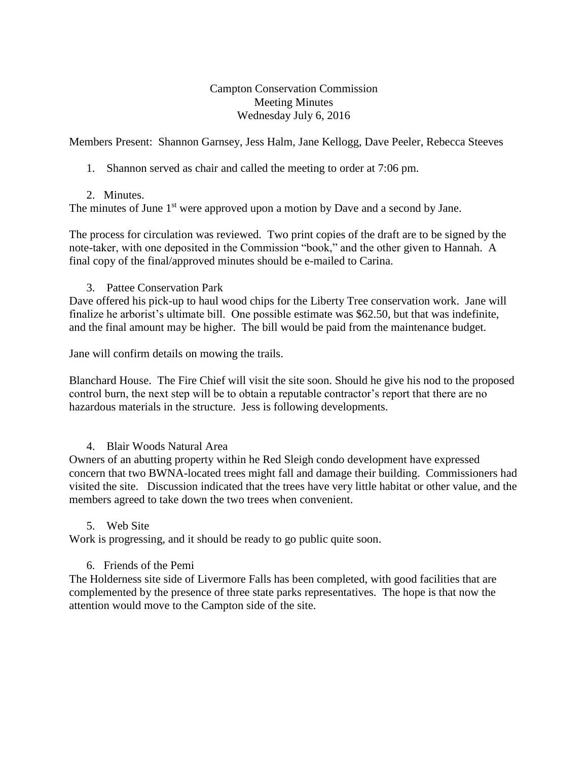## Campton Conservation Commission Meeting Minutes Wednesday July 6, 2016

Members Present: Shannon Garnsey, Jess Halm, Jane Kellogg, Dave Peeler, Rebecca Steeves

1. Shannon served as chair and called the meeting to order at 7:06 pm.

## 2. Minutes.

The minutes of June  $1<sup>st</sup>$  were approved upon a motion by Dave and a second by Jane.

The process for circulation was reviewed. Two print copies of the draft are to be signed by the note-taker, with one deposited in the Commission "book," and the other given to Hannah. A final copy of the final/approved minutes should be e-mailed to Carina.

3. Pattee Conservation Park

Dave offered his pick-up to haul wood chips for the Liberty Tree conservation work. Jane will finalize he arborist's ultimate bill. One possible estimate was \$62.50, but that was indefinite, and the final amount may be higher. The bill would be paid from the maintenance budget.

Jane will confirm details on mowing the trails.

Blanchard House. The Fire Chief will visit the site soon. Should he give his nod to the proposed control burn, the next step will be to obtain a reputable contractor's report that there are no hazardous materials in the structure. Jess is following developments.

# 4. Blair Woods Natural Area

Owners of an abutting property within he Red Sleigh condo development have expressed concern that two BWNA-located trees might fall and damage their building. Commissioners had visited the site. Discussion indicated that the trees have very little habitat or other value, and the members agreed to take down the two trees when convenient.

#### 5. Web Site

Work is progressing, and it should be ready to go public quite soon.

# 6. Friends of the Pemi

The Holderness site side of Livermore Falls has been completed, with good facilities that are complemented by the presence of three state parks representatives. The hope is that now the attention would move to the Campton side of the site.